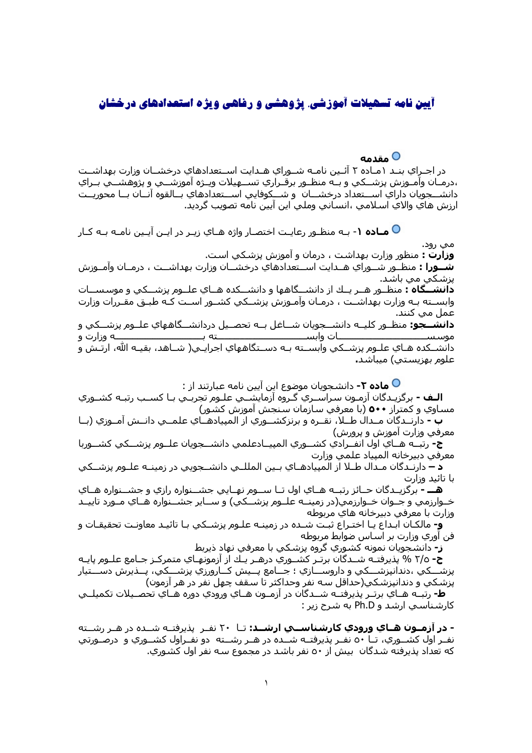## آیین نامه تسهیلات آموزشی. پژوهشی و رفاهی ویژه استعدادهای درخشان

## 0 مقدمه

در اجـراي بنـد ۱مـاده ۲ آئـين نامـه شــوراي هـدايت اســتعدادهاي درخشــان وزارت بهداشــت ،درمـان وآمـوزش پزشــكي و بــه منظـور برقـراري تســهيلات ويــژه آموزشــي و پژوهشــي بــراي دانشـــجويان داراي اســـتعداد درخشـــان و شـــكوفايي اســـتعدادهاي بــالقوه آنــان بــا محوريــت ارزش هاي والاي اسـلامي ،انسـاني وملي اين آيين نامه تصويب گرديد.

**V مـاده ۱**- بـه منظـور رعايـت اختصـار واژه هـاي زيـر در ايـن آيـين نامـه بـه كـار

مي رود. **وزارت :** منظور وزارت بهداشت ، درمان و آموزش پزشکي است. **شــورا :** منظـور شــوراي هــدايت اســتعدادهاي درخشــان وزارت بهداشــت ، درمــان وآمــوزش پزشکي مي باشد. **دانشــگاه :** منظـور هــر يــك از دانشــگاهها و دانشــكده هــاي علــوم پزشــكي و موسـســات وابســته بـه وزارت بهداشــت ، درمـان وآمـوزش پزشــكي كشــور اســت كـه طبـق مقـررات وزارت عمل مي كنند. **دانشـــجو:** منظــور کليــه دانشـــجويان شـــاغل بــه تحصــيل دردانشـــگاههاي علــوم پزشـــکي و دانشــكده هـاي علـوم پزشــكي وابســته بـه دســتگاههاي اجرابـي( شــاهد، بقبـه الله، ارتـش و علوم بھزیستی) میباشد.

**O ماده ۲-** دانشجویان موضوع این آیین نامه عبارتند از :

**الـف -** برگزيـدگان آزمـون سـراســري گـروه آزمايشــي علـوم تجربـي بـا كســب رتبـه كشــوري مسـاوي و کمتراز **٥٠٠** (با معرفي سـازمان سـنجش آموزش کشـور)

ب - دارنــدگان مــدال طــلا، نقــره و برنزكشــوري از المپيادهــاي علمــي دانــش آمــوزي (بــا معرفي وزارت آموزش و پرورش)

ج- رتبــه هــاي اول انفــرادي كشـــوري المپيــادعلمي دانشـــجويان علــوم پزشـــكي كشـــوربا معرفي دبيرخانه المپياد علمي وزارت

**د –** دارنـدگان مـدال طـلا از المپيادهـاي بـين المللــي دانشــجويـي در زمينــه علــوم پزشــكي با تائيد وزارت

**هـــ** - برگزيــدگان حــائز رتبــه هــاي اول تــا ســـوم نهــايي جشــنواره رازي و جشــنواره هــاي خــوارزممي و جــوان خــوارزممي(در زمينــه علــوم پزشـــکي) و ســـاير جشـــنواره هــاي مــورد تاييــد وزارت با معرفي دبيرخانه هاي مربوطه

**و-** مالكـان ابـداع يـا اختـراع ثبـت شــده در زمينـه علـوم پزشــكي بـا تائيـد معاونـت تحقيقـات و فن آوري وزارت بر اسـاس ضوابط مربوطه

**ز-** دانشـجويان نمونه کشـوري گروه پزشـکي با معرفي نهاد ذيربط

**ح-** ٢/٥ % پذیرفتـﻪ شــدگان برتـر کشــوري درهــر یـك از ازمونهـاي متمركـز جـامع علــو*م* پایـﻪ يزشـــکي ،دندانپزشـــکي و داروســـازي ؛ جـــامع پـــيش کــارورزي پزشـــکي، پـــذيرش دســـتيار پزشكي و دندانپزشكي(حداقل سـه نفر وحداكثر تا سـقف چـهل نفر در هر آزمون)

**ط-** رتبــه هــاي برتــر پذيرفتــه شـــدگان در آزمــون هــاي ورودي دوره هــاي تحصــيلات تكميلــي کارشناسی ارشد و Ph.D به شرح زیر :

**- در ازمــون هــاي ورودي كارشناســي ارشــد:** تــا ۲۰ نفـر پذيرفتـه شــده در هــر رشــته نفـر اول کشــوري، تـا ٥٠ نفــر پذيرفتــه شــده در هــر رشــته دو نفــراول کشــوري و درصـورتي که تعداد پذیرفته شدگان بیش از ٥٠ نفر باشد در مجموع سـه نفر اول کشـوري.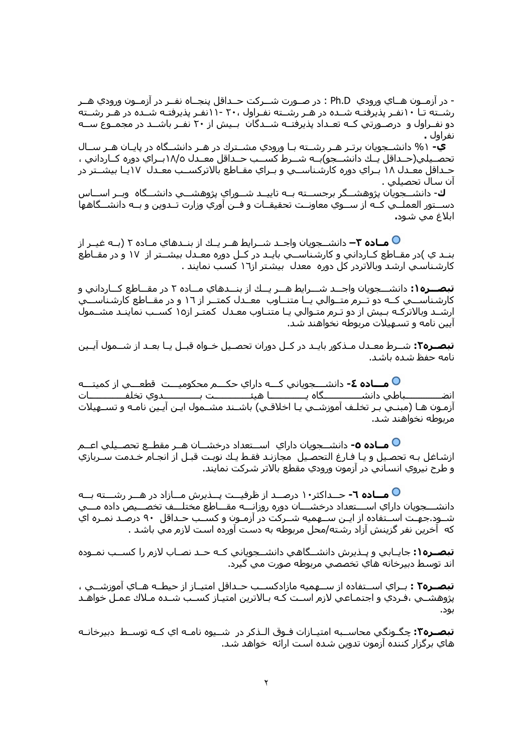- در آزمــون هــاي ورودي Ph.D : در صــورت شـــرکت حــداقل پنجــاه نفــر در آزمــون ورودي هــر رشــته تـا ۱۰نفـر پذیرفتـه شــده در هـر رشــته نفـراول ۲۰، ۱۱- ۱ نفـر پذیرفتـه شــده در هـر رشــته دو نفـراول و درصـورتي كــه تعــداد پذيرفتــه شـــدگان بــيش از ۲۰ نفــر باشـــد در مجمــوع ســـه نفراول .

**ک-** ۱% دانشــحویان برتـر هـر رشــته یـا ورودی مشــترك در هـر دانشــگاه در پایـان هـر ســال تحصـيلي(حـداقل پــك دانشــجو)بــه شــرط كســب حــداقل معــدل ١٨/٥بــراي دوره كــارداني ، حـداقل معـدل ۱۸ بـراي دوره کارشـناســي و بـراي مقـاطع بالاترکســب معـدل ۱۷يـا بيشــتر در ان سال تحصیلی .

ك- دانشــجويان پژوهشــگر برجســته بــه تاييــد شــوراي پژوهشــي دانشــگاه وبــر اســاس دســتور العملــي كــه از ســوي معاونــت تحقيقــات و فــن آوري وزارت تــدوين و بــه دانشـــگاهها ابلاغ مي شود.

**O مــاده ٣–** دانشــجويان واجــد شــرايط هــر يــك از بنــدهاي مـاده ٢ (بــه غيــر از بنـد ي )در مقـاطع کـارداني و کارشـناســي بايـد در کـل دوره معـدل بيشــتر از ١٧ و در مقـاطع کارشـناسـي ارشـد وبالاتردر کل دوره معدل بيشـتر از١٦ کسـب نمايند .

**تبصــره۱:** دانشــحویان واجــد شــرابط هــر بــك از پنــدهای مــاده ۲ در مقــاطع كــاردانی و کارشناســي کــه دو تــرم متــوالي يــا متنــاوب معــدل کمتــر از ١٦ و در مقــاطع کارشـناســـي ارشــد وبالاترکـه بـيش از دو تـرم متـوالي يـا متنـاوب معـدل کمتـر از١٥ کســب نماينـد مشــمول ایین نامه و تسـهیلات مربوطه نخواهند شـد.

**تبصــره۲:** شــرط معــدل مــذکور بایــد در کــل دوران تحصـیل خــواه قبــل یــا بعــد از شـــمول آیــین نامه حفظ شده باشد.

◘ مـــ**اده ٤-** دانشـــجوياني کـــه داراي حکـــم محکوميـــت قطعـــي از کميتـــه ـباطي دانشـــــــــــــگاه يــــــــــــــا هيئــــــــــــــت بــــــــــــــدوي تخلفــــــــــــات آزمـون هـا (مبنـي بـر تخلـف آموزشــي يـا اخلاقـي) باشــند مشــمول ايـن آيـين نامـه و تســهيلات مربوطه نخواهند شد.

**O مــاده ٥-** دانشـــجويان داراي اســـتعداد درخشــان هــر مقطــع تحصــيلي اعــم ازشاغل بـه تحصـيل و يـا فـارغ التحصـيل مجازنـد فقـط يـك نوبـت قبـل از انجـام خـدمت ســربازي و طرح نيروي انسـاني در ازمون ورودي مقطع بالاتر شـركت نمايند.

میاده ۲- حــداکثر۱۰ درصــد از ظرفیــت پــذیرش مــازاد در هــر رشـــته بــه  $\mathbf O$ دانشـــجويان داراي اســـتعداد درخشـــان دوره روزانـــه مقـــاطع مختلـــف تخصــيص داده مـــي شــود.جـهـت اســتفاده از ايــن ســهميه شــركت در آزمــون و كســب حــداقل ۹۰ درصـد نمــره اي كه اخرين نفر گزينش ازاد رشـته/محل مربوطه به دسـت اورده اسـت لازم ممي باشـد .

**تبصـره۱:** جايـابي و پـذيرش دانشــگاهي دانشــجوياني كـه حـد نصـاب لازم را كســب نمـوده اند توسط دبيرخانه هاي تخصصي مربوطه صورت مي گيرد.

**تبصــره٢ :** بــراي اســتفاده از ســهميه مازادكســب حــداقل امتيــاز از حيطــه هــاي آموزشــي ، پژوهشــي ،فـردي و اجتمـاعـي لازم اســت کـه بـالاترين امتيـاز کســب شــده مــلاك عمـل خواهــد ىەد.

**تبصـره٢:** چگـونگي محاســبه امتيـازات فـوق الـذکر در شــيوه نامـه اي کـه توســط دبيرخانـه هاي برگزار كننده آزمون تدوين شده است ارائه خواهد شد.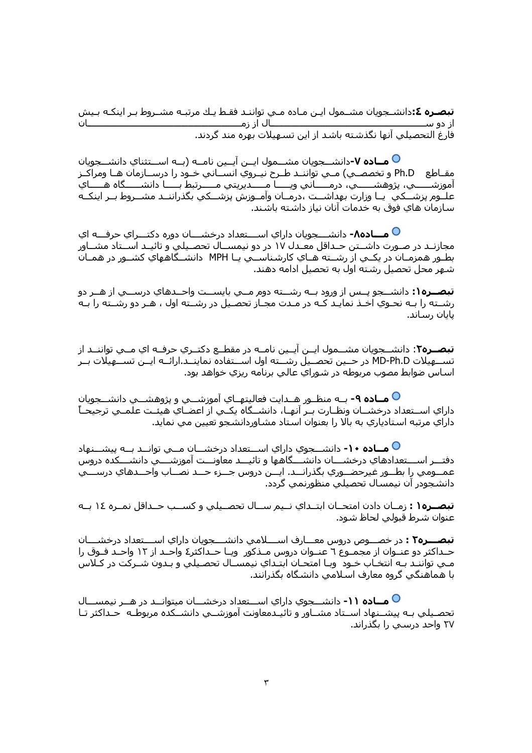**تبصـره ٤:**دانشــجويان مشــمول ايـن مـاده مــي تواننـد فقـط يـك مرتبـه مشــروط بـر اينكـه بـيش ــــــــــــــان ــــال از زمـــــــ از دو ســـ فارغ التحصيلي آنها نگذشته باشد از اين تسهيلات بهره مند گردند.

**O مــاده V-**دانشـــجويان مشـــمول ايــن آيــين نامــه (بــه اســـتثناي دانشـــجويان مقـاطع Ph.D و تخصصـي) مـي تواننـد طـرح نيـروي انســاني خـود را درســازمان هـا ومراكـز آموزشــــــي، پژوهشـــــــي، درمـــَـــاني ويـــــا مـــــديريتي مـــــُـرتبط بـــــا دانشــــــگاه هــــــاي<br>علــوم پزشـــكي يــا وزارت بهداشـــت ،درمــان وآمــوزش پزشـــكي بگذراننــد مشــروط بــر اينكــه سـازمان هاي فوق به خدمات آنان نياز داشـته باشـند.

**O مـــاده٨-** دانشـــجويان داراي اســـتعداد درخشـــان دوره دكتـــراي حرفـــه اي مجازنـد در صـورت داشــتن حـداقل معـدل ۱۷ در دو نیمســال تحصـیلي و تائیـد اســتاد مشــاور بطـور همزمـان در يکـي از رشــته هـاي کارشـناســي يـا MPH دانشــگاههاي کشــور در همـان شـهر محل تحصيل رشـته اول به تحصيل ادامه دهند.

**تبصــره۱:** دانشــجو پــس از ورود بــه رشـــته دوم مــي بايســت واحــدهاي درســـي از هــر دو رشــته را بـه نحـوي اخـذ نمايـد كـه در مـدت مجـاز تحصـيل در رشــته اول ، هـر دو رشــته را بـه يابان رساند.

**تبصــره٢**: دانشــجويان مشــمول ايــن آيــين نامــه در مقطــع دكتــري حرفــه اي مــي تواننــد از تســـهیلات MD-Ph.D در حــین تحصــیل رشـــته اول اســـتفاده نماینــد.ارائــه ایــن تســـهیلات بــر اسـاس ضوابط مصوب مربوطه در شـوراي عالـي برنامه ريزي خواهد بود.

**O مــاده ۹-** بــه منظــور هــدايت فعاليتهــاي آموزشـــي و پژوهشـــي دانشـــجويان داراي اســتعداد درخشــان ونظـارت بــر آنهـا، دانشــگاه يكــي از اعضـاي هيئــت علمــي ترجيحــاً داراي مرتبه استادياري به بالا را بعنوان استاد مشاوردانشجو تعيين مي نمايد.

**○ مــاده ١٠-** دانشـــجوي داراي اســـتعداد درخشـــان مـــي توانــد بــه پيشـــنهاد دفتــر اســـتعدادهاي درخشـــان دانشـــگاهها و تائيـــد معاونــت آموزشـــي دانشـــكده دروس عمــومي را بطــور غيرحضــوري بگذرانــد. ايــن دروس جـــزء حـــد نصــاب واحـــدهاي درســــي دانشجودر آن نیمسال تحصیلی منظورنمپ گردد.

**تبصــره١ :** زمــان دادن امتحــان ابتــداي نــيم ســال تحصــيلي و كســب حــداقل نمــره ١٤ بــه عنوان شرط قبولي لحاظ شود.

**تبصـــره٢ :** در خصـــوص دروس معـــارف اســــلامي دانشــــجويان داراي اســـتعداد درخشــــان حـداکثر دو عنـوان از مجمـوع ٦ عنـوان دروس مـذکور ویـا حـداکثر٤ واحـد از ١٢ واحـد فـوق را مـي تواننـد بـه انتخـاب خـود وبـا امتحـان ابتـداي نيمســال تحصـيلي و بـدون شــركت در كـلاس یا هماهنگی گروه معارف اسلامی دانشگاه یگذرانند.

**O مــاده ۱۱-** دانشـــجوي داراي اســـتعداد درخشــان ميتوانــد در هــر نيمســال تحصـيلي بـه پيشــنهاد اســتاد مشــاور و تائيـدمعاونت آموزشــي دانشــكده مربوطـه حـداكثر تـا ۲۷ واحد درسپي را پگذراند.